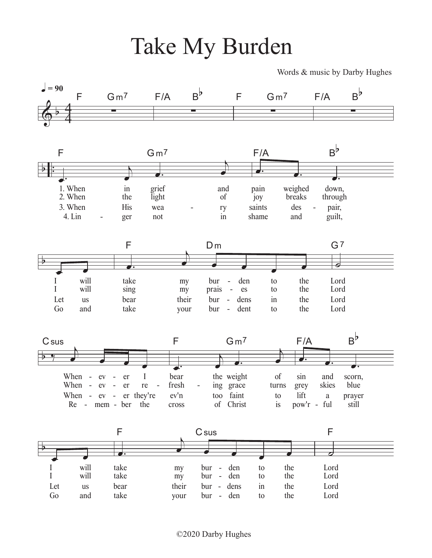## Take My Burden

Words & music by Darby Hughes